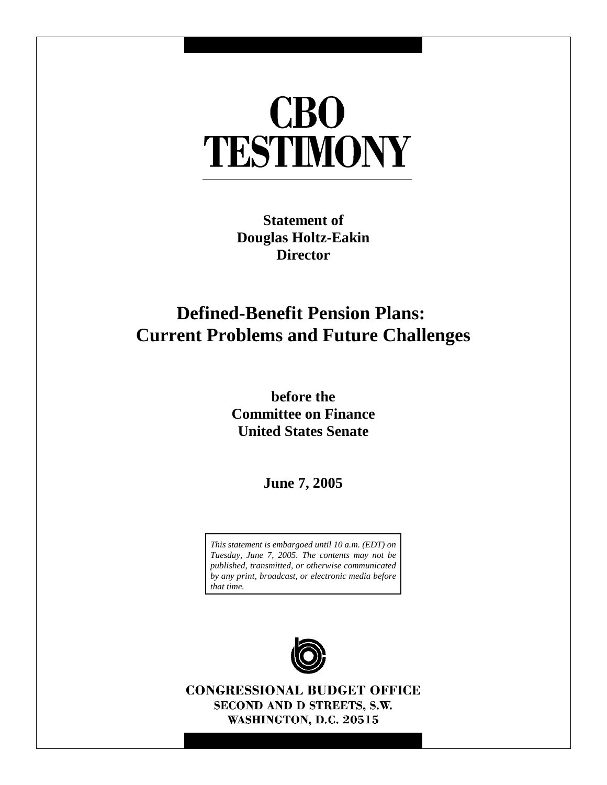# **CBO** TESTIMONY

**Statement of Douglas Holtz-Eakin Director**

## **Defined-Benefit Pension Plans: Current Problems and Future Challenges**

**before the Committee on Finance United States Senate**

**June 7, 2005**

*This statement is embargoed until 10 a.m. (EDT) on Tuesday, June 7, 2005. The contents may not be published, transmitted, or otherwise communicated by any print, broadcast, or electronic media before that time.*



**CONGRESSIONAL BUDGET OFFICE** SECOND AND D STREETS, S.W. WASHINGTON, D.C. 20515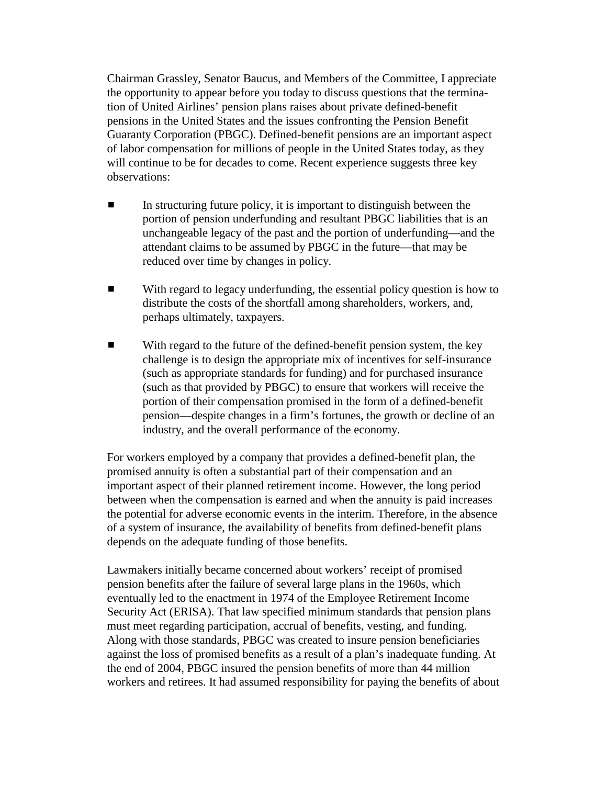Chairman Grassley, Senator Baucus, and Members of the Committee, I appreciate the opportunity to appear before you today to discuss questions that the termination of United Airlines' pension plans raises about private defined-benefit pensions in the United States and the issues confronting the Pension Benefit Guaranty Corporation (PBGC). Defined-benefit pensions are an important aspect of labor compensation for millions of people in the United States today, as they will continue to be for decades to come. Recent experience suggests three key observations:

- $\blacksquare$  In structuring future policy, it is important to distinguish between the portion of pension underfunding and resultant PBGC liabilities that is an unchangeable legacy of the past and the portion of underfunding—and the attendant claims to be assumed by PBGC in the future—that may be reduced over time by changes in policy.
- **EXECUTE:** With regard to legacy underfunding, the essential policy question is how to distribute the costs of the shortfall among shareholders, workers, and, perhaps ultimately, taxpayers.
- $\blacksquare$  With regard to the future of the defined-benefit pension system, the key challenge is to design the appropriate mix of incentives for self-insurance (such as appropriate standards for funding) and for purchased insurance (such as that provided by PBGC) to ensure that workers will receive the portion of their compensation promised in the form of a defined-benefit pension—despite changes in a firm's fortunes, the growth or decline of an industry, and the overall performance of the economy.

For workers employed by a company that provides a defined-benefit plan, the promised annuity is often a substantial part of their compensation and an important aspect of their planned retirement income. However, the long period between when the compensation is earned and when the annuity is paid increases the potential for adverse economic events in the interim. Therefore, in the absence of a system of insurance, the availability of benefits from defined-benefit plans depends on the adequate funding of those benefits.

Lawmakers initially became concerned about workers' receipt of promised pension benefits after the failure of several large plans in the 1960s, which eventually led to the enactment in 1974 of the Employee Retirement Income Security Act (ERISA). That law specified minimum standards that pension plans must meet regarding participation, accrual of benefits, vesting, and funding. Along with those standards, PBGC was created to insure pension beneficiaries against the loss of promised benefits as a result of a plan's inadequate funding. At the end of 2004, PBGC insured the pension benefits of more than 44 million workers and retirees. It had assumed responsibility for paying the benefits of about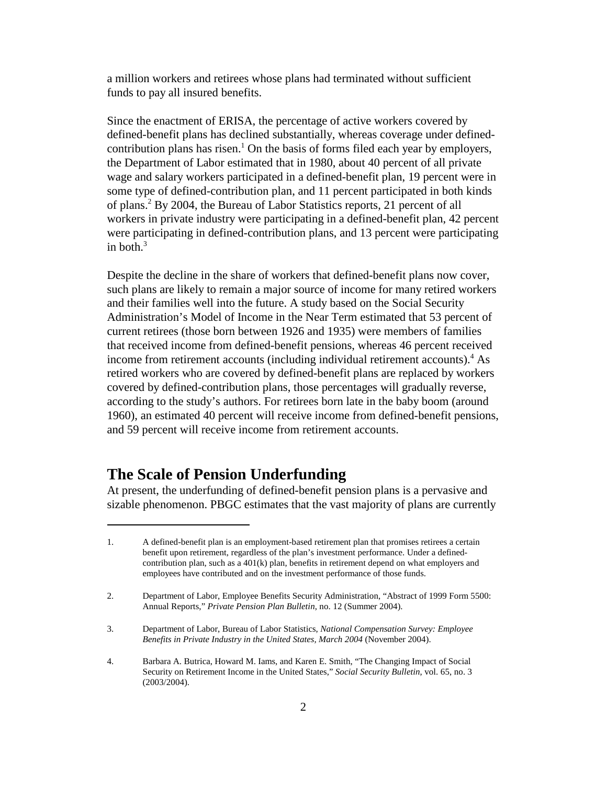a million workers and retirees whose plans had terminated without sufficient funds to pay all insured benefits.

Since the enactment of ERISA, the percentage of active workers covered by defined-benefit plans has declined substantially, whereas coverage under definedcontribution plans has risen.<sup>1</sup> On the basis of forms filed each year by employers, the Department of Labor estimated that in 1980, about 40 percent of all private wage and salary workers participated in a defined-benefit plan, 19 percent were in some type of defined-contribution plan, and 11 percent participated in both kinds of plans.2 By 2004, the Bureau of Labor Statistics reports, 21 percent of all workers in private industry were participating in a defined-benefit plan, 42 percent were participating in defined-contribution plans, and 13 percent were participating in both. $3$ 

Despite the decline in the share of workers that defined-benefit plans now cover, such plans are likely to remain a major source of income for many retired workers and their families well into the future. A study based on the Social Security Administration's Model of Income in the Near Term estimated that 53 percent of current retirees (those born between 1926 and 1935) were members of families that received income from defined-benefit pensions, whereas 46 percent received income from retirement accounts (including individual retirement accounts).<sup>4</sup> As retired workers who are covered by defined-benefit plans are replaced by workers covered by defined-contribution plans, those percentages will gradually reverse, according to the study's authors. For retirees born late in the baby boom (around 1960), an estimated 40 percent will receive income from defined-benefit pensions, and 59 percent will receive income from retirement accounts.

## **The Scale of Pension Underfunding**

At present, the underfunding of defined-benefit pension plans is a pervasive and sizable phenomenon. PBGC estimates that the vast majority of plans are currently

<sup>1.</sup> A defined-benefit plan is an employment-based retirement plan that promises retirees a certain benefit upon retirement, regardless of the plan's investment performance. Under a definedcontribution plan, such as a 401(k) plan, benefits in retirement depend on what employers and employees have contributed and on the investment performance of those funds.

<sup>2.</sup> Department of Labor, Employee Benefits Security Administration, "Abstract of 1999 Form 5500: Annual Reports," *Private Pension Plan Bulletin*, no. 12 (Summer 2004).

<sup>3.</sup> Department of Labor, Bureau of Labor Statistics, *National Compensation Survey: Employee Benefits in Private Industry in the United States, March 2004* (November 2004).

<sup>4.</sup> Barbara A. Butrica, Howard M. Iams, and Karen E. Smith, "The Changing Impact of Social Security on Retirement Income in the United States," *Social Security Bulletin*, vol. 65, no. 3 (2003/2004).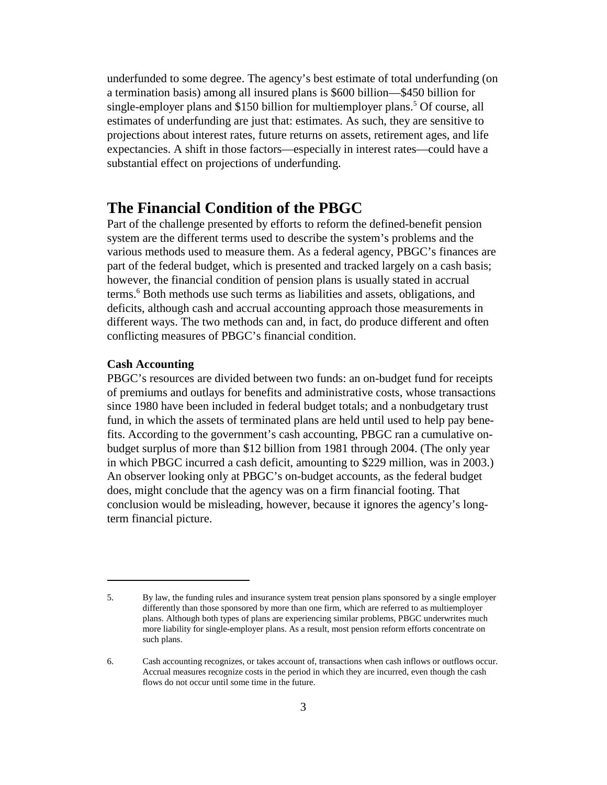underfunded to some degree. The agency's best estimate of total underfunding (on a termination basis) among all insured plans is \$600 billion—\$450 billion for single-employer plans and \$150 billion for multiemployer plans.<sup>5</sup> Of course, all estimates of underfunding are just that: estimates. As such, they are sensitive to projections about interest rates, future returns on assets, retirement ages, and life expectancies. A shift in those factors—especially in interest rates—could have a substantial effect on projections of underfunding.

## **The Financial Condition of the PBGC**

Part of the challenge presented by efforts to reform the defined-benefit pension system are the different terms used to describe the system's problems and the various methods used to measure them. As a federal agency, PBGC's finances are part of the federal budget, which is presented and tracked largely on a cash basis; however, the financial condition of pension plans is usually stated in accrual terms.6 Both methods use such terms as liabilities and assets, obligations, and deficits, although cash and accrual accounting approach those measurements in different ways. The two methods can and, in fact, do produce different and often conflicting measures of PBGC's financial condition.

### **Cash Accounting**

PBGC's resources are divided between two funds: an on-budget fund for receipts of premiums and outlays for benefits and administrative costs, whose transactions since 1980 have been included in federal budget totals; and a nonbudgetary trust fund, in which the assets of terminated plans are held until used to help pay benefits. According to the government's cash accounting, PBGC ran a cumulative onbudget surplus of more than \$12 billion from 1981 through 2004. (The only year in which PBGC incurred a cash deficit, amounting to \$229 million, was in 2003.) An observer looking only at PBGC's on-budget accounts, as the federal budget does, might conclude that the agency was on a firm financial footing. That conclusion would be misleading, however, because it ignores the agency's longterm financial picture.

<sup>5.</sup> By law, the funding rules and insurance system treat pension plans sponsored by a single employer differently than those sponsored by more than one firm, which are referred to as multiemployer plans. Although both types of plans are experiencing similar problems, PBGC underwrites much more liability for single-employer plans. As a result, most pension reform efforts concentrate on such plans.

<sup>6.</sup> Cash accounting recognizes, or takes account of, transactions when cash inflows or outflows occur. Accrual measures recognize costs in the period in which they are incurred, even though the cash flows do not occur until some time in the future.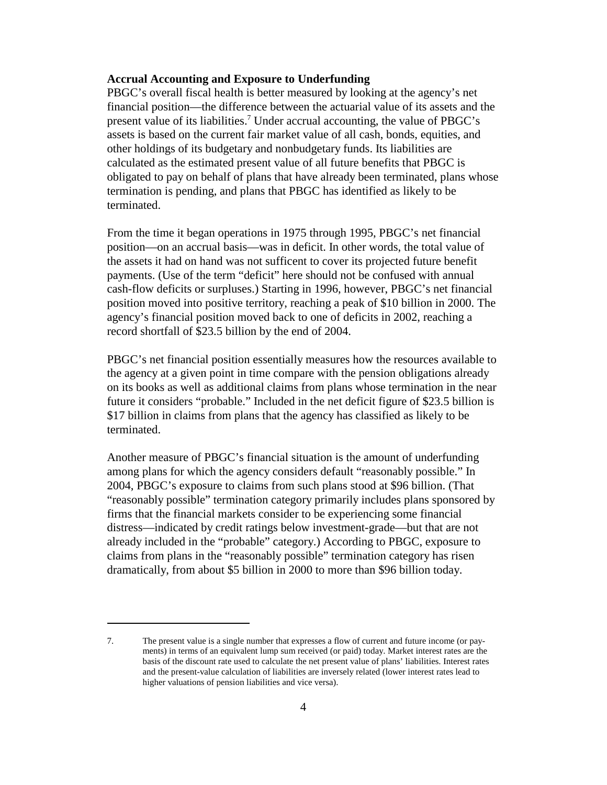#### **Accrual Accounting and Exposure to Underfunding**

PBGC's overall fiscal health is better measured by looking at the agency's net financial position—the difference between the actuarial value of its assets and the present value of its liabilities.7 Under accrual accounting, the value of PBGC's assets is based on the current fair market value of all cash, bonds, equities, and other holdings of its budgetary and nonbudgetary funds. Its liabilities are calculated as the estimated present value of all future benefits that PBGC is obligated to pay on behalf of plans that have already been terminated, plans whose termination is pending, and plans that PBGC has identified as likely to be terminated.

From the time it began operations in 1975 through 1995, PBGC's net financial position—on an accrual basis—was in deficit. In other words, the total value of the assets it had on hand was not sufficent to cover its projected future benefit payments. (Use of the term "deficit" here should not be confused with annual cash-flow deficits or surpluses.) Starting in 1996, however, PBGC's net financial position moved into positive territory, reaching a peak of \$10 billion in 2000. The agency's financial position moved back to one of deficits in 2002, reaching a record shortfall of \$23.5 billion by the end of 2004.

PBGC's net financial position essentially measures how the resources available to the agency at a given point in time compare with the pension obligations already on its books as well as additional claims from plans whose termination in the near future it considers "probable." Included in the net deficit figure of \$23.5 billion is \$17 billion in claims from plans that the agency has classified as likely to be terminated.

Another measure of PBGC's financial situation is the amount of underfunding among plans for which the agency considers default "reasonably possible." In 2004, PBGC's exposure to claims from such plans stood at \$96 billion. (That "reasonably possible" termination category primarily includes plans sponsored by firms that the financial markets consider to be experiencing some financial distress—indicated by credit ratings below investment-grade—but that are not already included in the "probable" category.) According to PBGC, exposure to claims from plans in the "reasonably possible" termination category has risen dramatically, from about \$5 billion in 2000 to more than \$96 billion today.

<sup>7.</sup> The present value is a single number that expresses a flow of current and future income (or payments) in terms of an equivalent lump sum received (or paid) today. Market interest rates are the basis of the discount rate used to calculate the net present value of plans' liabilities. Interest rates and the present-value calculation of liabilities are inversely related (lower interest rates lead to higher valuations of pension liabilities and vice versa).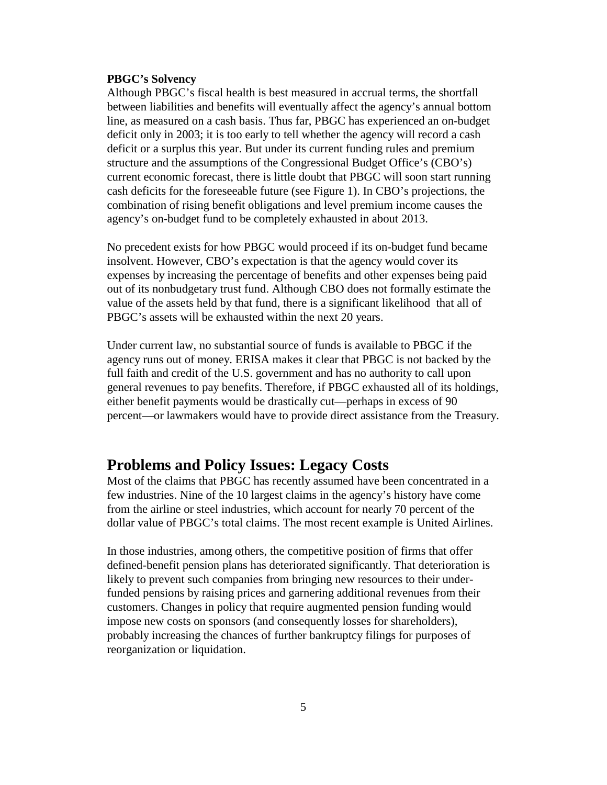#### **PBGC's Solvency**

Although PBGC's fiscal health is best measured in accrual terms, the shortfall between liabilities and benefits will eventually affect the agency's annual bottom line, as measured on a cash basis. Thus far, PBGC has experienced an on-budget deficit only in 2003; it is too early to tell whether the agency will record a cash deficit or a surplus this year. But under its current funding rules and premium structure and the assumptions of the Congressional Budget Office's (CBO's) current economic forecast, there is little doubt that PBGC will soon start running cash deficits for the foreseeable future (see Figure 1). In CBO's projections, the combination of rising benefit obligations and level premium income causes the agency's on-budget fund to be completely exhausted in about 2013.

No precedent exists for how PBGC would proceed if its on-budget fund became insolvent. However, CBO's expectation is that the agency would cover its expenses by increasing the percentage of benefits and other expenses being paid out of its nonbudgetary trust fund. Although CBO does not formally estimate the value of the assets held by that fund, there is a significant likelihood that all of PBGC's assets will be exhausted within the next 20 years.

Under current law, no substantial source of funds is available to PBGC if the agency runs out of money. ERISA makes it clear that PBGC is not backed by the full faith and credit of the U.S. government and has no authority to call upon general revenues to pay benefits. Therefore, if PBGC exhausted all of its holdings, either benefit payments would be drastically cut—perhaps in excess of 90 percent—or lawmakers would have to provide direct assistance from the Treasury.

## **Problems and Policy Issues: Legacy Costs**

Most of the claims that PBGC has recently assumed have been concentrated in a few industries. Nine of the 10 largest claims in the agency's history have come from the airline or steel industries, which account for nearly 70 percent of the dollar value of PBGC's total claims. The most recent example is United Airlines.

In those industries, among others, the competitive position of firms that offer defined-benefit pension plans has deteriorated significantly. That deterioration is likely to prevent such companies from bringing new resources to their underfunded pensions by raising prices and garnering additional revenues from their customers. Changes in policy that require augmented pension funding would impose new costs on sponsors (and consequently losses for shareholders), probably increasing the chances of further bankruptcy filings for purposes of reorganization or liquidation.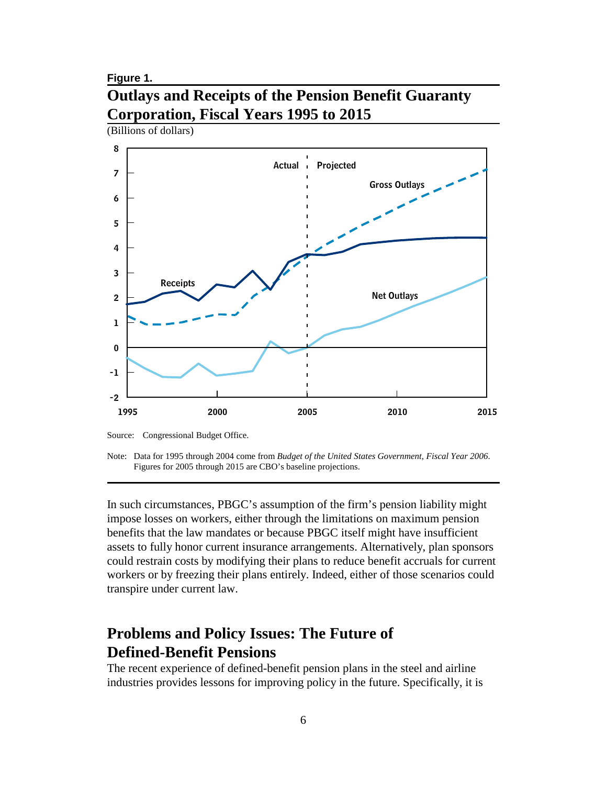#### **Figure 1.**

## **Outlays and Receipts of the Pension Benefit Guaranty Corporation, Fiscal Years 1995 to 2015**



Note: Data for 1995 through 2004 come from *Budget of the United States Government, Fiscal Year 2006*. Figures for 2005 through 2015 are CBO's baseline projections.

In such circumstances, PBGC's assumption of the firm's pension liability might impose losses on workers, either through the limitations on maximum pension benefits that the law mandates or because PBGC itself might have insufficient assets to fully honor current insurance arrangements. Alternatively, plan sponsors could restrain costs by modifying their plans to reduce benefit accruals for current workers or by freezing their plans entirely. Indeed, either of those scenarios could transpire under current law.

## **Problems and Policy Issues: The Future of Defined-Benefit Pensions**

The recent experience of defined-benefit pension plans in the steel and airline industries provides lessons for improving policy in the future. Specifically, it is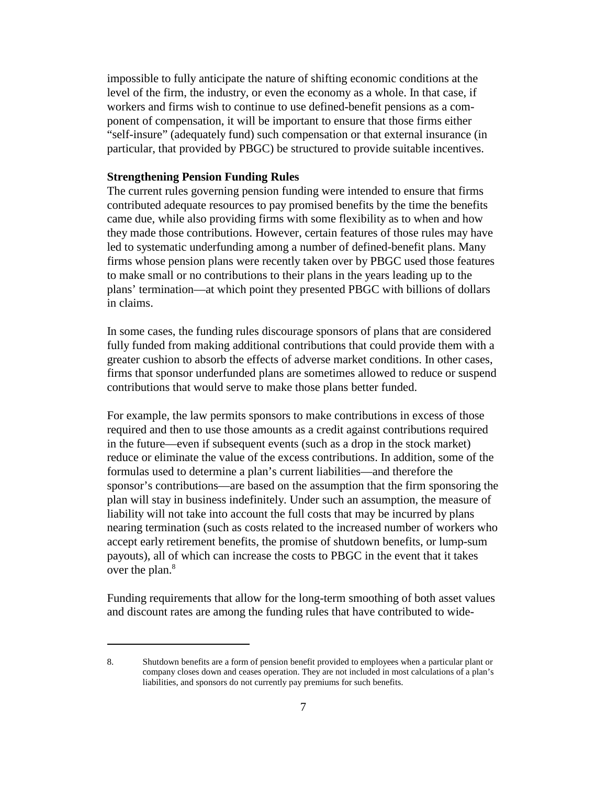impossible to fully anticipate the nature of shifting economic conditions at the level of the firm, the industry, or even the economy as a whole. In that case, if workers and firms wish to continue to use defined-benefit pensions as a component of compensation, it will be important to ensure that those firms either "self-insure" (adequately fund) such compensation or that external insurance (in particular, that provided by PBGC) be structured to provide suitable incentives.

#### **Strengthening Pension Funding Rules**

The current rules governing pension funding were intended to ensure that firms contributed adequate resources to pay promised benefits by the time the benefits came due, while also providing firms with some flexibility as to when and how they made those contributions. However, certain features of those rules may have led to systematic underfunding among a number of defined-benefit plans. Many firms whose pension plans were recently taken over by PBGC used those features to make small or no contributions to their plans in the years leading up to the plans' termination—at which point they presented PBGC with billions of dollars in claims.

In some cases, the funding rules discourage sponsors of plans that are considered fully funded from making additional contributions that could provide them with a greater cushion to absorb the effects of adverse market conditions. In other cases, firms that sponsor underfunded plans are sometimes allowed to reduce or suspend contributions that would serve to make those plans better funded.

For example, the law permits sponsors to make contributions in excess of those required and then to use those amounts as a credit against contributions required in the future—even if subsequent events (such as a drop in the stock market) reduce or eliminate the value of the excess contributions. In addition, some of the formulas used to determine a plan's current liabilities—and therefore the sponsor's contributions—are based on the assumption that the firm sponsoring the plan will stay in business indefinitely. Under such an assumption, the measure of liability will not take into account the full costs that may be incurred by plans nearing termination (such as costs related to the increased number of workers who accept early retirement benefits, the promise of shutdown benefits, or lump-sum payouts), all of which can increase the costs to PBGC in the event that it takes over the plan.<sup>8</sup>

Funding requirements that allow for the long-term smoothing of both asset values and discount rates are among the funding rules that have contributed to wide-

<sup>8.</sup> Shutdown benefits are a form of pension benefit provided to employees when a particular plant or company closes down and ceases operation. They are not included in most calculations of a plan's liabilities, and sponsors do not currently pay premiums for such benefits.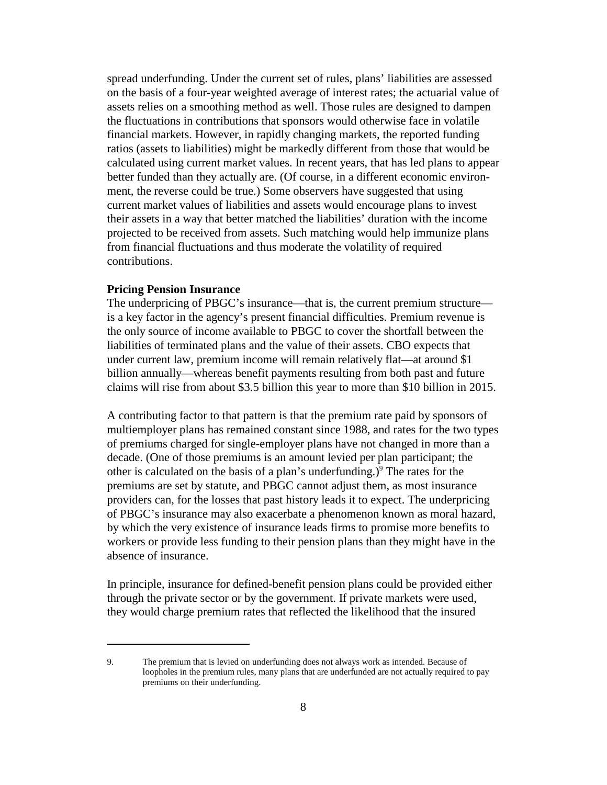spread underfunding. Under the current set of rules, plans' liabilities are assessed on the basis of a four-year weighted average of interest rates; the actuarial value of assets relies on a smoothing method as well. Those rules are designed to dampen the fluctuations in contributions that sponsors would otherwise face in volatile financial markets. However, in rapidly changing markets, the reported funding ratios (assets to liabilities) might be markedly different from those that would be calculated using current market values. In recent years, that has led plans to appear better funded than they actually are. (Of course, in a different economic environment, the reverse could be true.) Some observers have suggested that using current market values of liabilities and assets would encourage plans to invest their assets in a way that better matched the liabilities' duration with the income projected to be received from assets. Such matching would help immunize plans from financial fluctuations and thus moderate the volatility of required contributions.

## **Pricing Pension Insurance**

The underpricing of PBGC's insurance—that is, the current premium structure is a key factor in the agency's present financial difficulties. Premium revenue is the only source of income available to PBGC to cover the shortfall between the liabilities of terminated plans and the value of their assets. CBO expects that under current law, premium income will remain relatively flat—at around \$1 billion annually—whereas benefit payments resulting from both past and future claims will rise from about \$3.5 billion this year to more than \$10 billion in 2015.

A contributing factor to that pattern is that the premium rate paid by sponsors of multiemployer plans has remained constant since 1988, and rates for the two types of premiums charged for single-employer plans have not changed in more than a decade. (One of those premiums is an amount levied per plan participant; the other is calculated on the basis of a plan's underfunding.) $9$  The rates for the premiums are set by statute, and PBGC cannot adjust them, as most insurance providers can, for the losses that past history leads it to expect. The underpricing of PBGC's insurance may also exacerbate a phenomenon known as moral hazard, by which the very existence of insurance leads firms to promise more benefits to workers or provide less funding to their pension plans than they might have in the absence of insurance.

In principle, insurance for defined-benefit pension plans could be provided either through the private sector or by the government. If private markets were used, they would charge premium rates that reflected the likelihood that the insured

<sup>9.</sup> The premium that is levied on underfunding does not always work as intended. Because of loopholes in the premium rules, many plans that are underfunded are not actually required to pay premiums on their underfunding.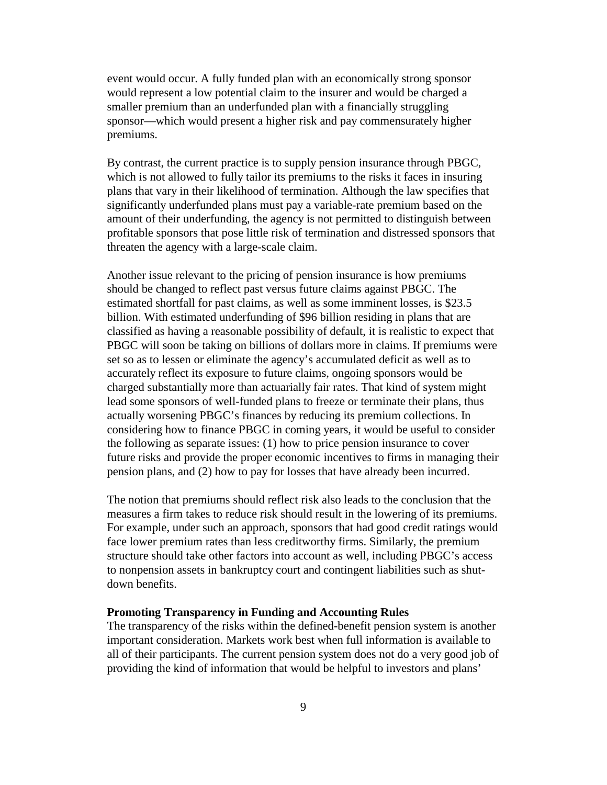event would occur. A fully funded plan with an economically strong sponsor would represent a low potential claim to the insurer and would be charged a smaller premium than an underfunded plan with a financially struggling sponsor—which would present a higher risk and pay commensurately higher premiums.

By contrast, the current practice is to supply pension insurance through PBGC, which is not allowed to fully tailor its premiums to the risks it faces in insuring plans that vary in their likelihood of termination. Although the law specifies that significantly underfunded plans must pay a variable-rate premium based on the amount of their underfunding, the agency is not permitted to distinguish between profitable sponsors that pose little risk of termination and distressed sponsors that threaten the agency with a large-scale claim.

Another issue relevant to the pricing of pension insurance is how premiums should be changed to reflect past versus future claims against PBGC. The estimated shortfall for past claims, as well as some imminent losses, is \$23.5 billion. With estimated underfunding of \$96 billion residing in plans that are classified as having a reasonable possibility of default, it is realistic to expect that PBGC will soon be taking on billions of dollars more in claims. If premiums were set so as to lessen or eliminate the agency's accumulated deficit as well as to accurately reflect its exposure to future claims, ongoing sponsors would be charged substantially more than actuarially fair rates. That kind of system might lead some sponsors of well-funded plans to freeze or terminate their plans, thus actually worsening PBGC's finances by reducing its premium collections. In considering how to finance PBGC in coming years, it would be useful to consider the following as separate issues: (1) how to price pension insurance to cover future risks and provide the proper economic incentives to firms in managing their pension plans, and (2) how to pay for losses that have already been incurred.

The notion that premiums should reflect risk also leads to the conclusion that the measures a firm takes to reduce risk should result in the lowering of its premiums. For example, under such an approach, sponsors that had good credit ratings would face lower premium rates than less creditworthy firms. Similarly, the premium structure should take other factors into account as well, including PBGC's access to nonpension assets in bankruptcy court and contingent liabilities such as shutdown benefits.

#### **Promoting Transparency in Funding and Accounting Rules**

The transparency of the risks within the defined-benefit pension system is another important consideration. Markets work best when full information is available to all of their participants. The current pension system does not do a very good job of providing the kind of information that would be helpful to investors and plans'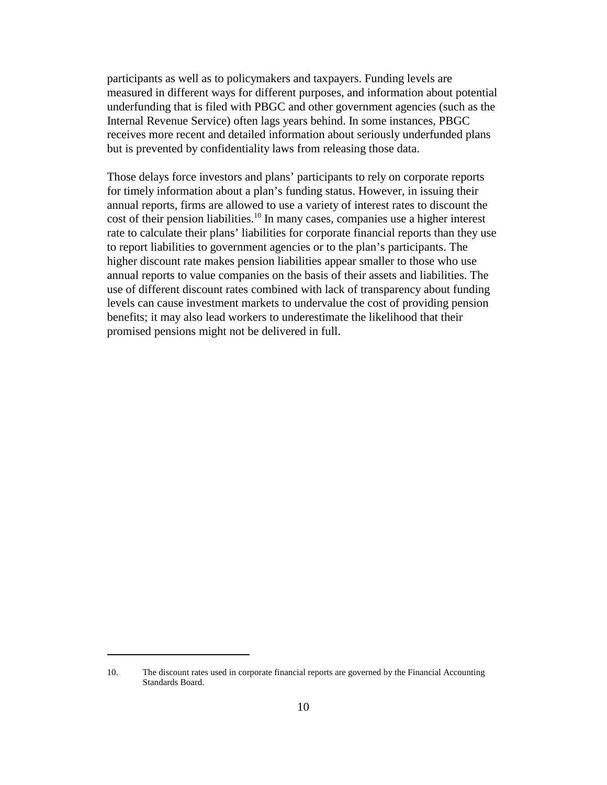participants as well as to policymakers and taxpayers. Funding levels are measured in different ways for different purposes, and information about potential underfunding that is filed with PBGC and other government agencies (such as the Internal Revenue Service) often lags years behind. In some instances, PBGC receives more recent and detailed information about seriously underfunded plans but is prevented by confidentiality laws from releasing those data.

Those delays force investors and plans' participants to rely on corporate reports for timely information about a plan's funding status. However, in issuing their annual reports, firms are allowed to use a variety of interest rates to discount the cost of their pension liabilities.<sup>10</sup> In many cases, companies use a higher interest rate to calculate their plans' liabilities for corporate financial reports than they use to report liabilities to government agencies or to the plan's participants. The higher discount rate makes pension liabilities appear smaller to those who use annual reports to value companies on the basis of their assets and liabilities. The use of different discount rates combined with lack of transparency about funding levels can cause investment markets to undervalue the cost of providing pension benefits; it may also lead workers to underestimate the likelihood that their promised pensions might not be delivered in full.

<sup>10.</sup> The discount rates used in corporate financial reports are governed by the Financial Accounting Standards Board.